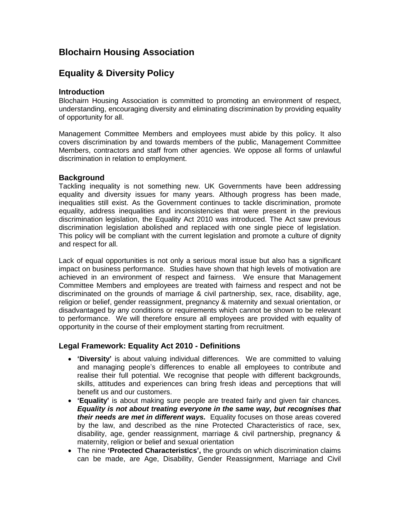# **Blochairn Housing Association**

# **Equality & Diversity Policy**

## **Introduction**

Blochairn Housing Association is committed to promoting an environment of respect, understanding, encouraging diversity and eliminating discrimination by providing equality of opportunity for all.

Management Committee Members and employees must abide by this policy. It also covers discrimination by and towards members of the public, Management Committee Members, contractors and staff from other agencies. We oppose all forms of unlawful discrimination in relation to employment.

## **Background**

Tackling inequality is not something new. UK Governments have been addressing equality and diversity issues for many years. Although progress has been made, inequalities still exist. As the Government continues to tackle discrimination, promote equality, address inequalities and inconsistencies that were present in the previous discrimination legislation, the Equality Act 2010 was introduced. The Act saw previous discrimination legislation abolished and replaced with one single piece of legislation. This policy will be compliant with the current legislation and promote a culture of dignity and respect for all.

Lack of equal opportunities is not only a serious moral issue but also has a significant impact on business performance. Studies have shown that high levels of motivation are achieved in an environment of respect and fairness. We ensure that Management Committee Members and employees are treated with fairness and respect and not be discriminated on the grounds of marriage & civil partnership, sex, race, disability, age, religion or belief, gender reassignment, pregnancy & maternity and sexual orientation, or disadvantaged by any conditions or requirements which cannot be shown to be relevant to performance. We will therefore ensure all employees are provided with equality of opportunity in the course of their employment starting from recruitment.

### **Legal Framework: Equality Act 2010 - Definitions**

- **'Diversity'** is about valuing individual differences. We are committed to valuing and managing people's differences to enable all employees to contribute and realise their full potential. We recognise that people with different backgrounds, skills, attitudes and experiences can bring fresh ideas and perceptions that will benefit us and our customers.
- **'Equality'** is about making sure people are treated fairly and given fair chances. *Equality is not about treating everyone in the same way, but recognises that their needs are met in different ways.* Equality focuses on those areas covered by the law, and described as the nine Protected Characteristics of race, sex, disability, age, gender reassignment, marriage & civil partnership, pregnancy & maternity, religion or belief and sexual orientation
- The nine **'Protected Characteristics',** the grounds on which discrimination claims can be made, are Age, Disability, Gender Reassignment, Marriage and Civil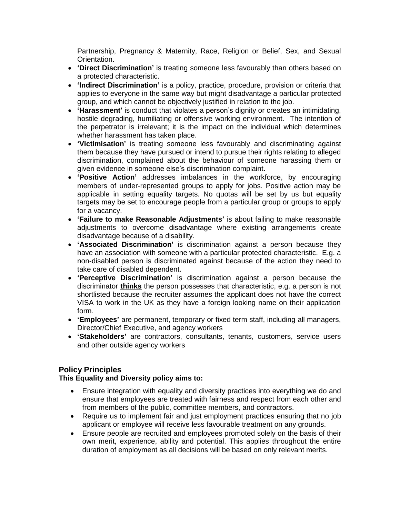Partnership, Pregnancy & Maternity, Race, Religion or Belief, Sex, and Sexual Orientation.

- **'Direct Discrimination'** is treating someone less favourably than others based on a protected characteristic.
- **'Indirect Discrimination'** is a policy, practice, procedure, provision or criteria that applies to everyone in the same way but might disadvantage a particular protected group, and which cannot be objectively justified in relation to the job.
- **'Harassment'** is conduct that violates a person's dignity or creates an intimidating, hostile degrading, humiliating or offensive working environment. The intention of the perpetrator is irrelevant; it is the impact on the individual which determines whether harassment has taken place.
- **'Victimisation'** is treating someone less favourably and discriminating against them because they have pursued or intend to pursue their rights relating to alleged discrimination, complained about the behaviour of someone harassing them or given evidence in someone else's discrimination complaint.
- **'Positive Action'** addresses imbalances in the workforce, by encouraging members of under-represented groups to apply for jobs. Positive action may be applicable in setting equality targets. No quotas will be set by us but equality targets may be set to encourage people from a particular group or groups to apply for a vacancy.
- **'Failure to make Reasonable Adjustments'** is about failing to make reasonable adjustments to overcome disadvantage where existing arrangements create disadvantage because of a disability.
- **'Associated Discrimination'** is discrimination against a person because they have an association with someone with a particular protected characteristic. E.g. a non-disabled person is discriminated against because of the action they need to take care of disabled dependent.
- **'Perceptive Discrimination'** is discrimination against a person because the discriminator **thinks** the person possesses that characteristic, e.g. a person is not shortlisted because the recruiter assumes the applicant does not have the correct VISA to work in the UK as they have a foreign looking name on their application form.
- **'Employees'** are permanent, temporary or fixed term staff, including all managers, Director/Chief Executive, and agency workers
- **'Stakeholders'** are contractors, consultants, tenants, customers, service users and other outside agency workers

# **Policy Principles**

### **This Equality and Diversity policy aims to:**

- Ensure integration with equality and diversity practices into everything we do and ensure that employees are treated with fairness and respect from each other and from members of the public, committee members, and contractors.
- Require us to implement fair and just employment practices ensuring that no job applicant or employee will receive less favourable treatment on any grounds.
- Ensure people are recruited and employees promoted solely on the basis of their own merit, experience, ability and potential. This applies throughout the entire duration of employment as all decisions will be based on only relevant merits.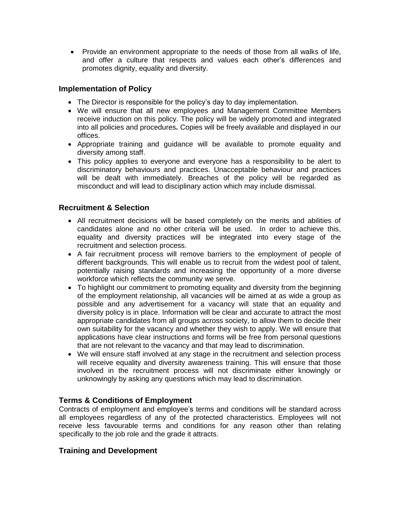• Provide an environment appropriate to the needs of those from all walks of life, and offer a culture that respects and values each other's differences and promotes dignity, equality and diversity.

## **Implementation of Policy**

- The Director is responsible for the policy's day to day implementation.
- We will ensure that all new employees and Management Committee Members receive induction on this policy. The policy will be widely promoted and integrated into all policies and procedures*.* Copies will be freely available and displayed in our offices.
- Appropriate training and guidance will be available to promote equality and diversity among staff.
- This policy applies to everyone and everyone has a responsibility to be alert to discriminatory behaviours and practices. Unacceptable behaviour and practices will be dealt with immediately. Breaches of the policy will be regarded as misconduct and will lead to disciplinary action which may include dismissal.

## **Recruitment & Selection**

- All recruitment decisions will be based completely on the merits and abilities of candidates alone and no other criteria will be used. In order to achieve this, equality and diversity practices will be integrated into every stage of the recruitment and selection process.
- A fair recruitment process will remove barriers to the employment of people of different backgrounds. This will enable us to recruit from the widest pool of talent, potentially raising standards and increasing the opportunity of a more diverse workforce which reflects the community we serve.
- To highlight our commitment to promoting equality and diversity from the beginning of the employment relationship, all vacancies will be aimed at as wide a group as possible and any advertisement for a vacancy will state that an equality and diversity policy is in place. Information will be clear and accurate to attract the most appropriate candidates from all groups across society, to allow them to decide their own suitability for the vacancy and whether they wish to apply. We will ensure that applications have clear instructions and forms will be free from personal questions that are not relevant to the vacancy and that may lead to discrimination.
- We will ensure staff involved at any stage in the recruitment and selection process will receive equality and diversity awareness training. This will ensure that those involved in the recruitment process will not discriminate either knowingly or unknowingly by asking any questions which may lead to discrimination.

# **Terms & Conditions of Employment**

Contracts of employment and employee's terms and conditions will be standard across all employees regardless of any of the protected characteristics. Employees will not receive less favourable terms and conditions for any reason other than relating specifically to the job role and the grade it attracts.

### **Training and Development**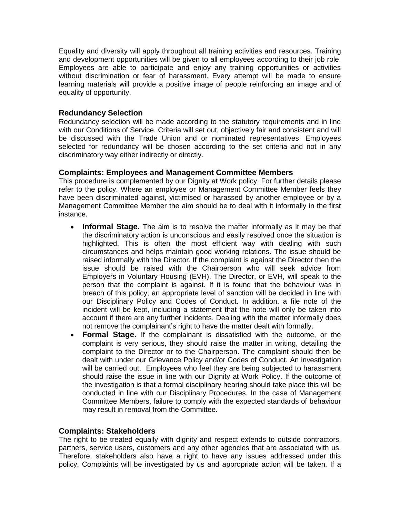Equality and diversity will apply throughout all training activities and resources. Training and development opportunities will be given to all employees according to their job role. Employees are able to participate and enjoy any training opportunities or activities without discrimination or fear of harassment. Every attempt will be made to ensure learning materials will provide a positive image of people reinforcing an image and of equality of opportunity.

## **Redundancy Selection**

Redundancy selection will be made according to the statutory requirements and in line with our Conditions of Service. Criteria will set out, objectively fair and consistent and will be discussed with the Trade Union and or nominated representatives. Employees selected for redundancy will be chosen according to the set criteria and not in any discriminatory way either indirectly or directly.

### **Complaints: Employees and Management Committee Members**

This procedure is complemented by our Dignity at Work policy. For further details please refer to the policy. Where an employee or Management Committee Member feels they have been discriminated against, victimised or harassed by another employee or by a Management Committee Member the aim should be to deal with it informally in the first instance.

- **Informal Stage.** The aim is to resolve the matter informally as it may be that the discriminatory action is unconscious and easily resolved once the situation is highlighted. This is often the most efficient way with dealing with such circumstances and helps maintain good working relations. The issue should be raised informally with the Director. If the complaint is against the Director then the issue should be raised with the Chairperson who will seek advice from Employers in Voluntary Housing (EVH). The Director, or EVH, will speak to the person that the complaint is against. If it is found that the behaviour was in breach of this policy, an appropriate level of sanction will be decided in line with our Disciplinary Policy and Codes of Conduct. In addition, a file note of the incident will be kept, including a statement that the note will only be taken into account if there are any further incidents. Dealing with the matter informally does not remove the complainant's right to have the matter dealt with formally.
- **Formal Stage.** If the complainant is dissatisfied with the outcome, or the complaint is very serious, they should raise the matter in writing, detailing the complaint to the Director or to the Chairperson. The complaint should then be dealt with under our Grievance Policy and/or Codes of Conduct. An investigation will be carried out. Employees who feel they are being subjected to harassment should raise the issue in line with our Dignity at Work Policy. If the outcome of the investigation is that a formal disciplinary hearing should take place this will be conducted in line with our Disciplinary Procedures. In the case of Management Committee Members, failure to comply with the expected standards of behaviour may result in removal from the Committee.

### **Complaints: Stakeholders**

The right to be treated equally with dignity and respect extends to outside contractors, partners, service users, customers and any other agencies that are associated with us. Therefore, stakeholders also have a right to have any issues addressed under this policy. Complaints will be investigated by us and appropriate action will be taken. If a